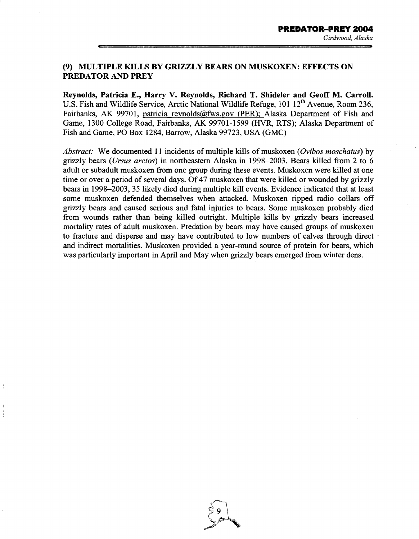## **(9) MULTIPLE KILLS BY GRIZZLY BEARS ON MUSKOXEN: EFFECTS ON PREDATOR AND PREY**

**Reynolds, Patricia E., Harry V. Reynolds, Richard T. Shideler and Geoff M. Carroll.**  U.S. Fish and Wildlife Service, Arctic National Wildlife Refuge,  $101 \, 12^{th}$  Avenue, Room 236, Fairbanks, AK 99701, patricia reynolds@fws.gov (PER); Alaska Department of Fish and Game, 1300 College Road, Fairbanks, AK 99701-1599 (HVR, RTS); Alaska Department of Fish and Game, PO Box 1284, Barrow, Alaska 99723, USA (GMC)

*Abstract:* We documented 11 incidents of multiple kills of muskoxen *(Ovibos moschatus)* by grizzly bears *(Ursus arctos)* in northeastern Alaska in 1998-2003. Bears killed from 2 to 6 adult or subadult muskoxen from one group during these events. Muskoxen were killed at one time or over a period of several days. Of 47 muskoxen that were killed or wounded by grizzly bears in 1998-2003, 35 likely died during multiple kill events. Evidence indicated that at least some muskoxen defended themselves when attacked. Muskoxen ripped radio collars off grizzly bears and caused serious and fatal injuries to bears. Some muskoxen probably died from wounds rather than being killed outright. Multiple kills by grizzly bears increased mortality rates of adult muskoxen. Predation by bears may have caused groups of muskoxen to fracture and disperse and may have contributed to low numbers of calves through direct and indirect mortalities. Muskoxen provided a year-round source of protein for bears, which was particularly important in April and May when grizzly bears emerged from winter dens.